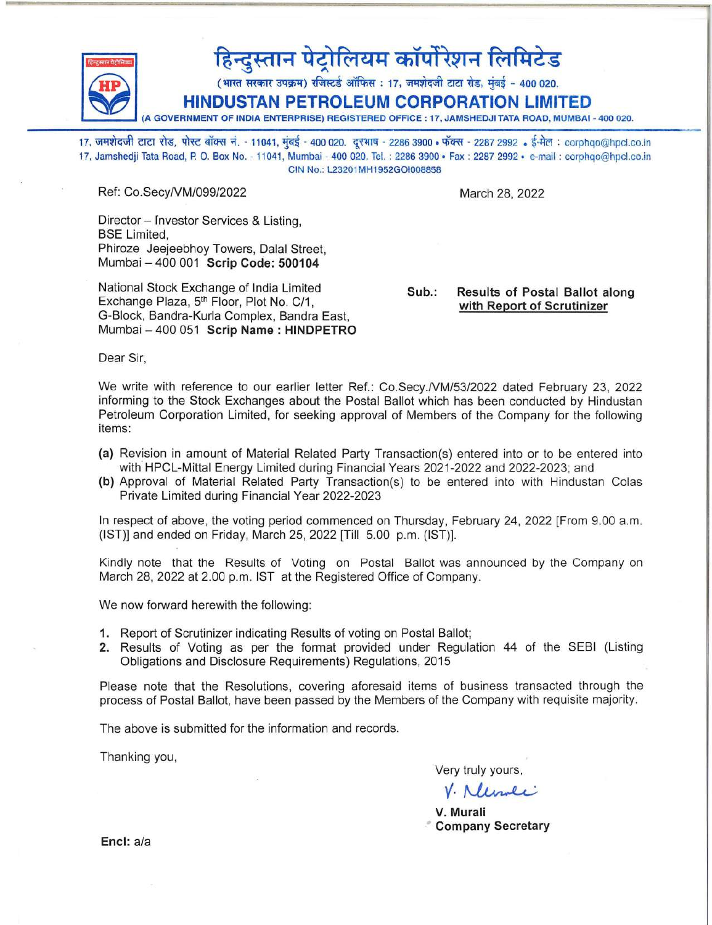

## हिन्दुस्तान पेट्रोलियम कॉर्पोरेशन लिमिटेड<br>(भारत सरकार उपक्रम) रजिस्टर्ड ऑफिस : 17, जमशेदजी टाटा रोड, मंबई - 400 020.

~ HIN~~;;N~;:~~~~'~~~~~~Ti6N -r1~OiTED (A GOVERNMENT OF INDIA ENTERPRISE) REGISTERED OFFICE: 17, JAMSHEDJI TATA ROAD, MUMBAI - 400 020.

17, जमशेदजी टाटा रोड, पोस्ट बॉक्स नं. - 11041, मुंबई - 400 020. दूरभाष - 2286 3900 • फॅक्स - 2287 2992 • ई-मेल : corphqo@hpcl.co.in 17, Jamshedji Tata Road , P. O. Box No. - 11041, Mumbai - 400 020. Tel. : 22863900· Fax : 2287 2992· e-mail: corphqo@hpcl.co.in CIN No.: L23201MH1 952GOI008858

Ref: Co.SecyNM/099/2022

March 28, 2022

Director - Investor Services & Listing, BSE Limited, Phiroze Jeejeebhoy Towers, Dalal Street, Mumbai - 400001 Scrip Code: *500104* 

National Stock Exchange of India Limited Exchange Plaza, 5<sup>th</sup> Floor, Plot No. C/1, G-Block, Bandra-Kurla Complex, Bandra East, Mumbai - 400 051 Scrip Name: HINDPETRO

Sub.: Results of Postal Ballot along with Report of Scrutinizer

Dear Sir,

We write with reference to our earlier letter Ref.: Co.Secy./VM/53/2022 dated February 23, 2022 informing to the Stock Exchanges about the Postal Ballot which has been conducted by Hindustan Petroleum Corporation Limited, for seeking approval of Members of the Company for the following items:

- (a) Revision in amount of Material Related Party Transaction(s) entered into or to be entered into with HPCL-Mittal Energy Limited during Financial Years 2021-2022 and 2022-2023; and
- (b) Approval of Material Related Party Transaction(s) to be entered into with Hindustan Colas Private Limited during Financial Year 2022-2023

In respect of above, the voting period commenced on Thursday, February 24, 2022 [From 9.00 a.m. (1ST)] and ended on Friday, March 25, 2022 [Till 5.00 p.m. (1ST)].

Kindly note that the Results of Voting on Postal Ballot was announced by the Company on March 28, 2022 at 2.00 p.m. 1ST at the Registered Office of Company.

We now forward herewith the following:

- 1. Report of Scrutinizer indicating Results of voting on Postal Ballot;
- 2. Results of Voting as per the format provided under Regulation 44 of the SEBI (Listing Obligations and Disclosure Requirements) Regulations, 2015

Please note that the Resolutions, covering aforesaid items of business transacted through the process of Postal Ballot, have been passed by the Members of the Company with requisite majority.

The above is submitted for the information and records.

Thanking you,

Very truly yours,

truly yours,<br>Neumeine

V. Murali • Company Secretary

Encl: a/a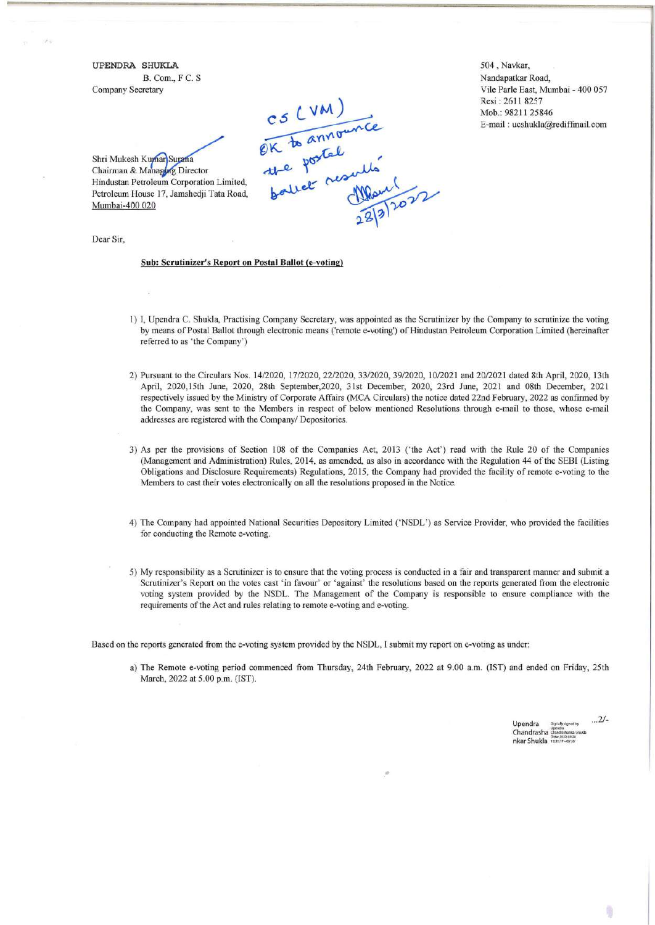**UPENDRA SHUKLA**  B. Com., F C. S Company Secretary

C5 (VM)<br>OK to announce<br>the postel<br>ballet results<br>22/3/2022

504 , Navkar, Nandapatkar Road, Vile Parle East, Mumbai - 400 057 Resi : 2611 8257 Mob.: 98211 25846 E-mail: ucshukla@rediffinail.com

Shri Mukesh Kumar Surana Chairman & Managing Director Hindustan Petroleum Corporation Limited, Petroleum House 17, Jamshedji Tata Road, Mumbai-400 020

Dear Sir,

## **Sub: Scrutinizer's Report on Postal Ballot (e-voting)**

- I) I, Upendra C. Shukla, Practising Company Secretary, was appointed as the Scrutinizer by the Company to scrutinize the voting by means of Postal Ballot through electronic means ('remote e-voting') of Hindustan Petroleum Corporation Limited (hereinafter referred to as 'the Company')
- 2) Pursuant to the Circulars Nos. *14/2020, 17/2020, 22/2020, 33/2020,39/2020, 10/2021* and 2012021 dated 8th April, 2020, 13th April, 2020,15th June, 2020, 28th September,2020, 31st December, 2020, 23rd June, 2021 and 08th December, 2021 respectively issued by the Ministry of Corporate Affairs (MCA Circulars) the notice dated 22nd February, 2022 as confrrmed by the Company, was sent to the Members in respect of below mentioned Resolutions through e-mail to those, whose e-mail addresses are registered with the Company/ Depositories.
- 3) As per the provisions of Section 108 of the Companies Act, 2013 ('the Act') read with the Rule 20 of the Companies (Management and Administration) Rules, 2014, as amended, as also in accordance with the Regulation 44 of the SEBI (Listing Obligations and Disclosure Requirements) Regulations, 2015, the Company had provided the facility of remote e-voting to the Members to cast their votes electronically on **all** the resolutions proposed in the Notice.
- 4) The Company had appointed National Securities Depository Limited ('NSDL') as Service Provider, who provided the facilities for conducting the Remote e-voting.
- 5) My responsibility as a Scrutinizer is to ensure that the voting process is conducted in a fair and transparent manner and submit a Scrutinizer's Report on the votes cast 'in favour' or 'against' the resolutions based on the reports generated from the electronic voting system provided by the NSDL. The Management of the Company is responsible to ensure compliance with the requirements of the Act and rules relating to remote e-voting and e-voting.

Based on the reports generated from the e-voting system provided by the NSDL, I submit my report on e-voting as under:

a) The Remote e-voting period commenced from Thursday, 24th February, 2022 at 9.00 a.m. (IST) and ended on Friday, 25th March, 2022 at 5.00 p.m. (IST).

**.-**

Upendra Chandrasha nkar Shukla *. .. 2/-*

膺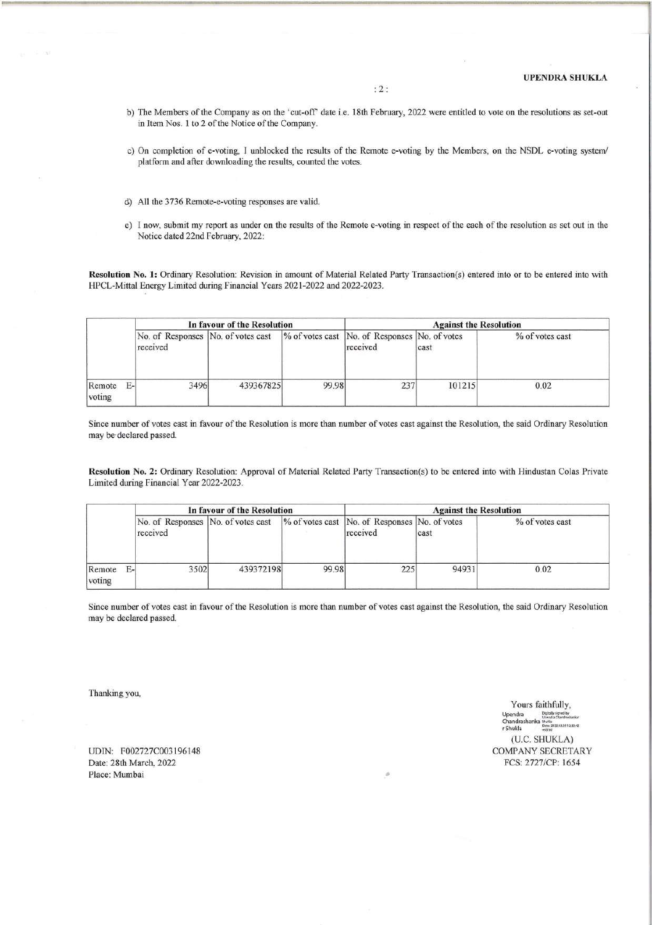- b) The Members of the Company as on the 'cut-off' date i.e. 18th February, 2022 were entitled to vote on the resolutions as set-out in Item Nos. 1 to 2 of the Notice of the Company.
- c) On completion of e-voting, I unblocked the results of the Remote e-voting by the Members, on the NSDL e-voting *systeml*  platform and after downloading the results, counted the votes.
- d) All the 3736 Remote-e-voting responses are valid.
- e) I now, submit my report as under on the results of the Remote e-voting in respect of the each of the resolution as set out in the Notice dated 22nd Febmary, 2022:

Resolution No.1: Ordinary Resolution: Revision in amount of Material Related Party Transaction(s) entered into or to be entered into with HPCL-Mittal Energy Limited during Financial Years 2021-2022 and 2022-2023.

|                  |              |                                                | In favour of the Resolution |       | <b>Against the Resolution</b>                             |        |                 |  |
|------------------|--------------|------------------------------------------------|-----------------------------|-------|-----------------------------------------------------------|--------|-----------------|--|
|                  |              | No. of Responses No. of votes cast<br>received |                             |       | % of votes cast No. of Responses No. of votes<br>received | cast   | % of votes cast |  |
| Remote<br>voting | $E_{\rm{H}}$ | 3496                                           | 439367825                   | 99.98 | 237                                                       | 101215 | 0.02            |  |

Since number of votes cast in favour of the Resolution is more than number of votes cast against the Resolution, the said Ordinary Resolution may be declared passed.

Resolution No.2: Ordinary Resolution: Approval of Material Related Party Transaction(s) to be entered into with Hindustan Colas Private Limited during Financial Year 2022-2023.

|                  |    |                                                | In favour of the Resolution |       | <b>Against the Resolution</b>                             |       |                 |  |
|------------------|----|------------------------------------------------|-----------------------------|-------|-----------------------------------------------------------|-------|-----------------|--|
|                  |    | No. of Responses No. of votes cast<br>received |                             |       | % of votes cast No. of Responses No. of votes<br>received | cast  | % of votes cast |  |
| Remote<br>voting | Е- | 3502                                           | 439372198                   | 99.98 | 225                                                       | 94931 | 0.02            |  |

Since number of votes cast in favour of the Resolution is more than number of votes cast against the Resolution, the said Ordinary Resolution may be declared passed.

Thanking you,

UDIN: F002727C003196148 Date: 28th March, 2022 Place: Mumbai •

Yours faithfully, Upendra <sup>Digitally signed by</sup><br>Upendra Chandrasharka Chandrashanka Shukla<br>r Shukla (U.c. SHUKLA) COMPANY SECRETARY FCS: 2727/CP: 1654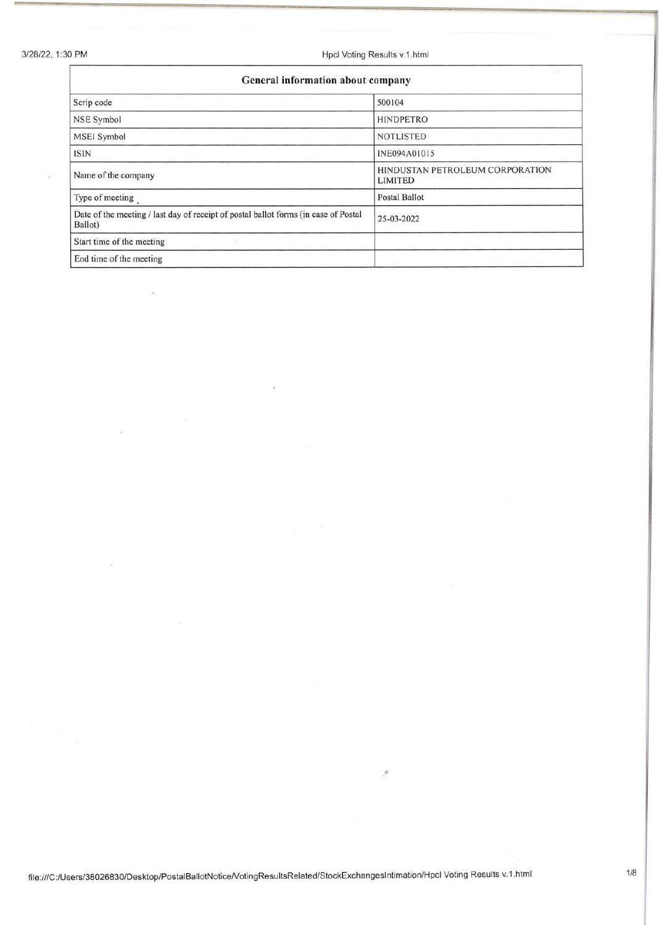*3/28/22,* 1 :30 PM Hpcl Voting Results v.1.html

| General information about company                                                              |                                            |  |  |  |  |
|------------------------------------------------------------------------------------------------|--------------------------------------------|--|--|--|--|
| Scrip code                                                                                     | 500104                                     |  |  |  |  |
| <b>NSE Symbol</b>                                                                              | <b>HINDPETRO</b>                           |  |  |  |  |
| <b>MSEI Symbol</b>                                                                             | <b>NOTLISTED</b>                           |  |  |  |  |
| <b>ISIN</b>                                                                                    | INE094A01015                               |  |  |  |  |
| Name of the company                                                                            | HINDUSTAN PETROLEUM CORPORATION<br>LIMITED |  |  |  |  |
| Type of meeting.                                                                               | <b>Postal Ballot</b>                       |  |  |  |  |
| Date of the meeting / last day of receipt of postal ballot forms (in case of Postal<br>Ballot) | 25-03-2022                                 |  |  |  |  |
| Start time of the meeting                                                                      |                                            |  |  |  |  |
| End time of the meeting                                                                        |                                            |  |  |  |  |

•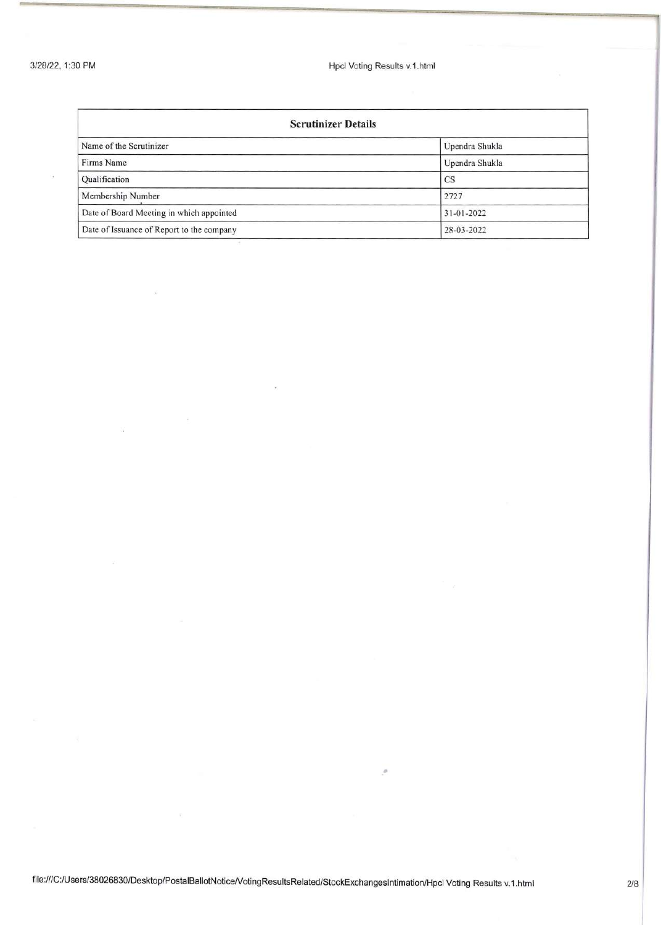3/28/22, 1:30 PM **Hpcl Voting Results v.1.html** 

| <b>Scrutinizer Details</b>                |                  |  |  |  |  |
|-------------------------------------------|------------------|--|--|--|--|
| Name of the Scrutinizer                   | Upendra Shukla   |  |  |  |  |
| Firms Name                                | Upendra Shukla   |  |  |  |  |
| <b>Qualification</b>                      | <b>CS</b>        |  |  |  |  |
| Membership Number                         | 2727             |  |  |  |  |
| Date of Board Meeting in which appointed  | $31 - 01 - 2022$ |  |  |  |  |
| Date of Issuance of Report to the company | 28-03-2022       |  |  |  |  |

**.-**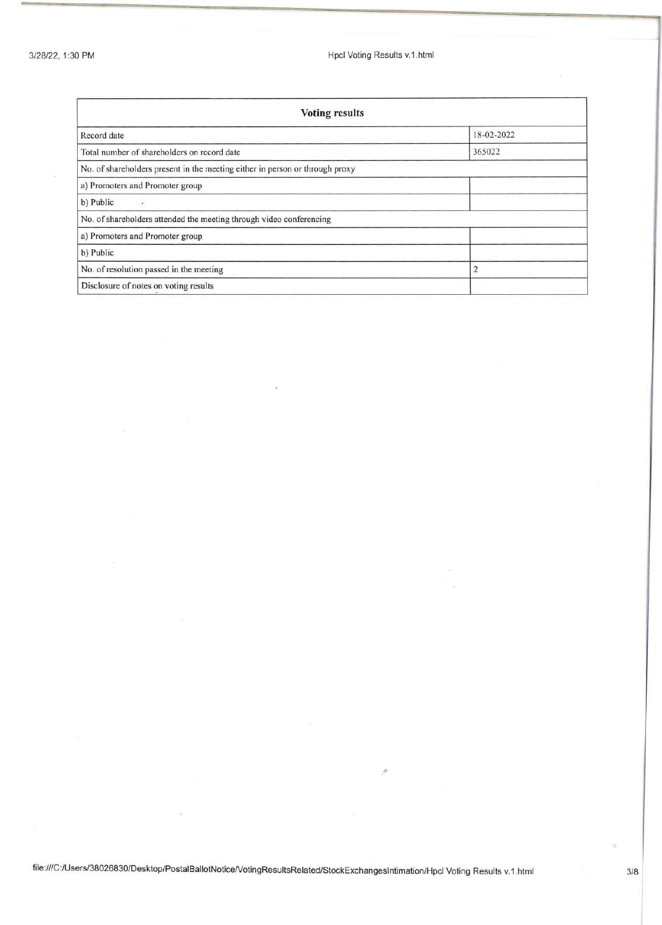*3/28/22,* 1 :30 PM Hpcl Voting Results v.1.html

| <b>Voting results</b>                                                        |            |  |  |  |  |
|------------------------------------------------------------------------------|------------|--|--|--|--|
| Record date                                                                  | 18-02-2022 |  |  |  |  |
| Total number of shareholders on record date                                  | 365022     |  |  |  |  |
| No. of shareholders present in the meeting either in person or through proxy |            |  |  |  |  |
| a) Promoters and Promoter group                                              |            |  |  |  |  |
| b) Public                                                                    |            |  |  |  |  |
| No. of shareholders attended the meeting through video conferencing          |            |  |  |  |  |
| a) Promoters and Promoter group                                              |            |  |  |  |  |
| b) Public                                                                    |            |  |  |  |  |
| No. of resolution passed in the meeting<br>$\overline{2}$                    |            |  |  |  |  |
| Disclosure of notes on voting results                                        |            |  |  |  |  |

**.-**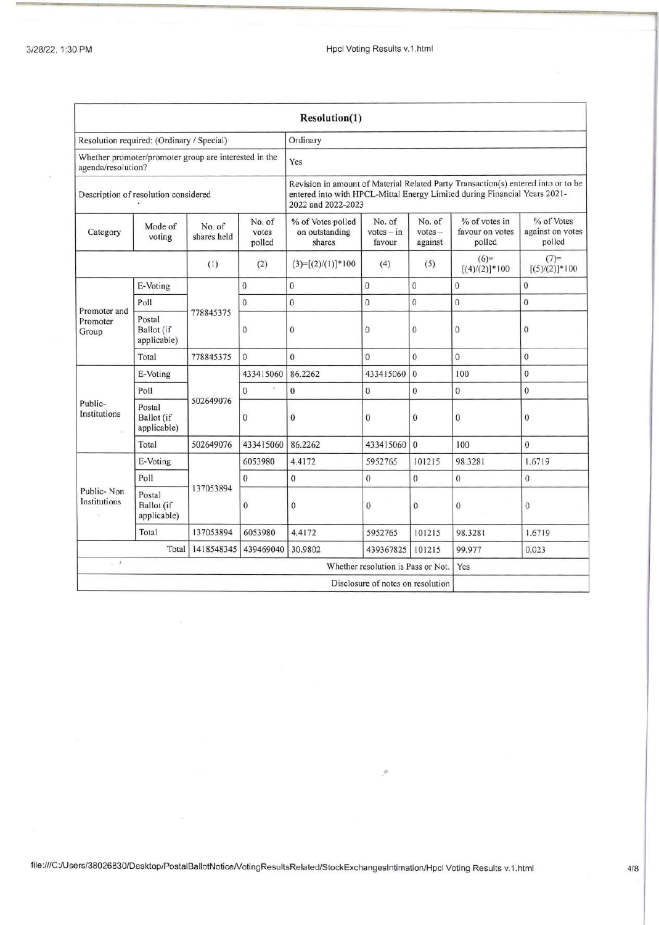|                                           |                                                                             |                       |                                                                                                                                                                                      | Resolution(1)                                 |                                    |                                |                                            |                                          |  |
|-------------------------------------------|-----------------------------------------------------------------------------|-----------------------|--------------------------------------------------------------------------------------------------------------------------------------------------------------------------------------|-----------------------------------------------|------------------------------------|--------------------------------|--------------------------------------------|------------------------------------------|--|
| Resolution required: (Ordinary / Special) |                                                                             |                       |                                                                                                                                                                                      | Ordinary                                      |                                    |                                |                                            |                                          |  |
|                                           | Whether promoter/promoter group are interested in the<br>agenda/resolution? |                       |                                                                                                                                                                                      | Yes                                           |                                    |                                |                                            |                                          |  |
| Description of resolution considered      |                                                                             |                       | Revision in amount of Material Related Party Transaction(s) entered into or to be<br>entered into with HPCL-Mittal Energy Limited during Financial Years 2021-<br>2022 and 2022-2023 |                                               |                                    |                                |                                            |                                          |  |
| Category                                  | Mode of<br>voting                                                           | No. of<br>shares held | No. of<br>votes<br>polled                                                                                                                                                            | % of Votes polled<br>on outstanding<br>shares | No. of<br>$votes - in$<br>favour   | No. of<br>$votes -$<br>against | % of votes in<br>favour on votes<br>polled | % of Votes<br>against on votes<br>polled |  |
|                                           |                                                                             | (1)                   | (2)                                                                                                                                                                                  | $(3)=[(2)/(1)]*100$                           | (4)                                | (5)                            | $(6)=$<br>$[(4)/(2)]$ *100                 | $(7)$ =<br>$[(5)/(2)]$ *100              |  |
|                                           | E-Voting                                                                    |                       | $\overline{0}$                                                                                                                                                                       | $\bf{0}$                                      | $\bf{0}$                           | $\overline{0}$                 | $\mathbf{0}$                               | $\mathbf{0}$                             |  |
| Promoter and                              | Poll                                                                        |                       | $\mathbf{0}$                                                                                                                                                                         | $\mathbf{0}$                                  | $\boldsymbol{0}$                   | $\bf{0}$                       | $\mathbf{0}$                               | $\boldsymbol{0}$                         |  |
| Promoter<br>Group                         | Postal<br>Ballot (if<br>applicable)                                         | 778845375             | $\mathbf{0}$                                                                                                                                                                         | $\overline{0}$                                | $\mathbf{0}$                       | $\mathbf{0}$                   | $\mathbf{0}$                               | $\mathbf{0}$                             |  |
|                                           | Total                                                                       | 778845375             | $\mathbf{0}$                                                                                                                                                                         | $\overline{0}$                                | $\theta$                           | $\mathbf{0}$                   | $\mathbf{0}$                               | $\mathbf{0}$                             |  |
|                                           | E-Voting                                                                    | 502649076             | 433415060                                                                                                                                                                            | 86.2262                                       | 433415060                          | $\mathbf{0}$                   | 100                                        | $\overline{0}$                           |  |
|                                           | Poll                                                                        |                       | $\mathbf{0}$                                                                                                                                                                         | $\mathbf{0}$                                  | $\mathbf{0}$                       | $\mathbf{0}$                   | $\mathbf{0}$                               | $\mathbf{0}$                             |  |
| Public-<br>Institutions                   | Postal<br>Ballot (if<br>applicable)                                         |                       | $\mathbf{0}$                                                                                                                                                                         | $\bf{0}$                                      | $\bf{0}$                           | $\mathbf{0}$                   | $\mathbf{0}$                               | $\bf{0}$                                 |  |
|                                           | Total                                                                       | 502649076             | 433415060                                                                                                                                                                            | 86.2262                                       | 433415060                          | $\mathbf{0}$                   | 100                                        | $\mathbf{0}$                             |  |
|                                           | E-Voting                                                                    |                       | 6053980                                                                                                                                                                              | 4.4172                                        | 5952765                            | 101215                         | 98.3281                                    | 1.6719                                   |  |
|                                           | Poll                                                                        |                       | $\mathbf{0}$                                                                                                                                                                         | $\mathbf{0}$                                  | $\mathbf{0}$                       | $\theta$                       | $\overline{0}$                             | $\mathbf{0}$                             |  |
| Public-Non<br>Institutions                | 137053894<br>Postal<br>Ballot (if<br>applicable)                            | $\bf{0}$              | $\mathbf{0}$                                                                                                                                                                         | $\mathbf{0}$                                  | $\mathbf{0}$                       | $\mathbf{0}$                   | $\bf{0}$                                   |                                          |  |
|                                           | Total                                                                       | 137053894             | 6053980                                                                                                                                                                              | 4.4172                                        | 5952765                            | 101215                         | 98.3281                                    | 1.6719                                   |  |
|                                           | Total                                                                       | 1418548345            | 439469040                                                                                                                                                                            | 30.9802                                       | 439367825                          | 101215                         | 99.977                                     | 0.023                                    |  |
| $\bar{r}$                                 |                                                                             |                       |                                                                                                                                                                                      |                                               | Whether resolution is Pass or Not. |                                | Yes                                        |                                          |  |
|                                           |                                                                             |                       |                                                                                                                                                                                      |                                               | Disclosure of notes on resolution  |                                |                                            |                                          |  |

94

•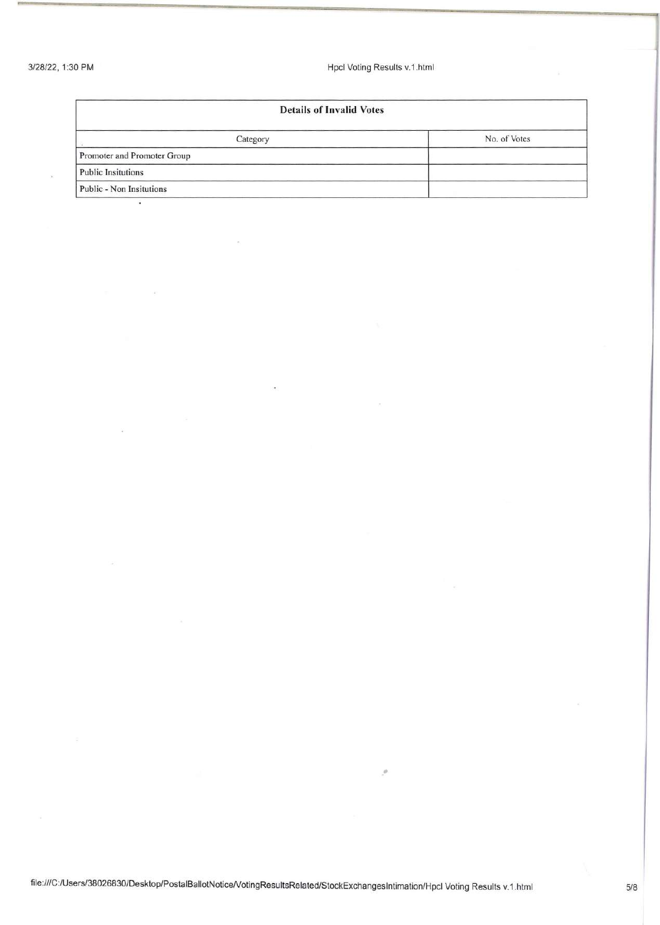*3/28/22 ,* 1 :30 **PM** Hpcl Voting Results v.1.html

| <b>Details of Invalid Votes</b> |              |
|---------------------------------|--------------|
| Category                        | No. of Votes |
| Promoter and Promoter Group     |              |
| <b>Public Insitutions</b>       |              |
| Public - Non Insitutions        |              |

..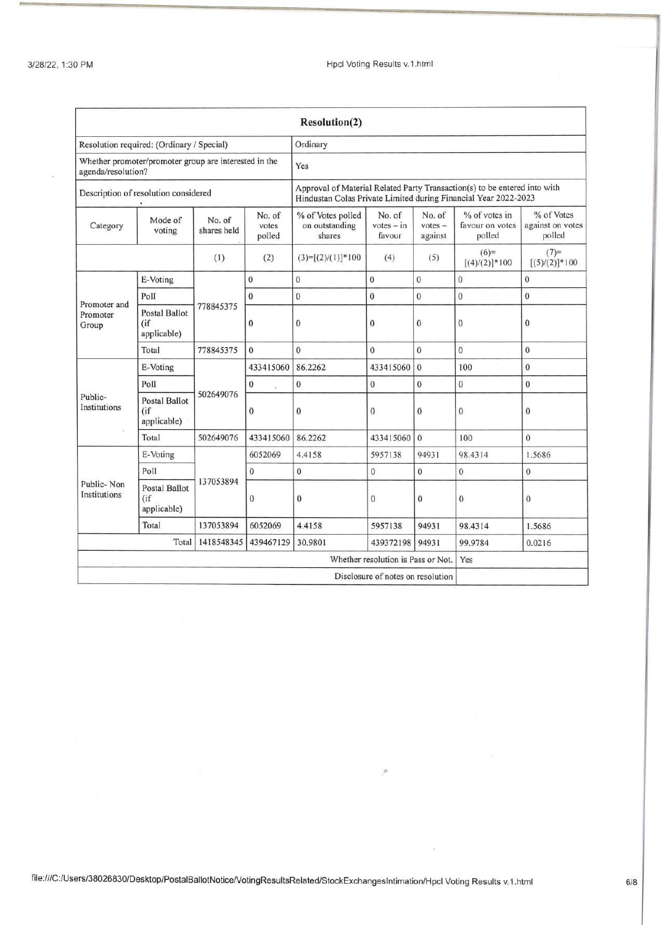|                                                                             |                                              |                       |                                                                                                                                              | Resolution(2)                                 |                                    |                                |                                            |                                          |  |
|-----------------------------------------------------------------------------|----------------------------------------------|-----------------------|----------------------------------------------------------------------------------------------------------------------------------------------|-----------------------------------------------|------------------------------------|--------------------------------|--------------------------------------------|------------------------------------------|--|
| Resolution required: (Ordinary / Special)                                   |                                              |                       |                                                                                                                                              | Ordinary                                      |                                    |                                |                                            |                                          |  |
| Whether promoter/promoter group are interested in the<br>agenda/resolution? |                                              |                       | Yes                                                                                                                                          |                                               |                                    |                                |                                            |                                          |  |
| Description of resolution considered                                        |                                              |                       | Approval of Material Related Party Transaction(s) to be entered into with<br>Hindustan Colas Private Limited during Financial Year 2022-2023 |                                               |                                    |                                |                                            |                                          |  |
| Category                                                                    | Mode of<br>voting                            | No. of<br>shares held | No. of<br>votes<br>polled                                                                                                                    | % of Votes polled<br>on outstanding<br>shares | No. of<br>$votes - in$<br>favour   | No. of<br>$votes -$<br>against | % of votes in<br>favour on votes<br>polled | % of Votes<br>against on votes<br>polled |  |
|                                                                             |                                              | (1)                   | (2)                                                                                                                                          | $(3)=[(2)/(1)]*100$                           | (4)                                | (5)                            | $(6)=$<br>$[(4)/(2)]$ *100                 | $(7)=$<br>$[(5)/(2)]$ *100               |  |
|                                                                             | E-Voting                                     |                       | $\mathbf{0}$                                                                                                                                 | $\mathbf{0}$                                  | $\overline{0}$                     | $\mathbf{0}$                   | $\overline{0}$                             | $\overline{0}$                           |  |
| Promoter and                                                                | Polf                                         |                       | $\overline{0}$                                                                                                                               | $\mathbf{0}$                                  | $\overline{0}$                     | $\mathbf{0}$                   | $\overline{0}$                             | $\overline{0}$                           |  |
| Promoter<br>Group                                                           | <b>Postal Ballot</b><br>(if<br>applicable)   | 778845375             | $\bf{0}$                                                                                                                                     | $\mathbf{0}$                                  | 0                                  | $\bf{0}$                       | $\bf{0}$                                   | $\bf{0}$                                 |  |
|                                                                             | Total                                        | 778845375             | $\theta$                                                                                                                                     | $\overline{0}$                                | $\overline{0}$                     | $\overline{0}$                 | $\overline{0}$                             | $\mathbf{0}$                             |  |
|                                                                             | E-Voting                                     |                       | 433415060                                                                                                                                    | 86.2262                                       | 433415060                          | $\mathbf{0}$                   | 100                                        | $\mathbf{0}$                             |  |
|                                                                             | Poll                                         |                       | $\mathbf{0}$                                                                                                                                 | $\mathbf{0}$                                  | $\mathbf{0}$                       | $\overline{0}$                 | $\bf{0}$                                   | $\mathbf{0}$                             |  |
| Public-<br>Institutions                                                     | <b>Postal Ballot</b><br>(i)<br>applicable)   | 502649076             | $\overline{0}$                                                                                                                               | $\bf{0}$                                      | $\mathbf{0}$                       | $\mathbf{0}$                   | $\mathbf{0}$                               | $\bf{0}$                                 |  |
|                                                                             | Total                                        | 502649076             | 433415060                                                                                                                                    | 86.2262                                       | 433415060                          | $\Omega$                       | 100                                        | $\theta$                                 |  |
|                                                                             | E-Voting                                     |                       | 6052069                                                                                                                                      | 4.4158                                        | 5957138                            | 94931                          | 98.4314                                    | 1.5686                                   |  |
|                                                                             | Poll                                         |                       | $\mathbf{0}$                                                                                                                                 | $\boldsymbol{0}$                              | $\mathbf{0}$                       | $\bf{0}$                       | $\mathbf{0}$                               | $\bf{0}$                                 |  |
| Public-Non<br>Institutions                                                  | <b>Postal Ballot</b><br>(iif)<br>applicable) | 137053894             | $\mathbf{0}$                                                                                                                                 | $\mathbf{0}$                                  | $\mathbf{0}$                       | $\mathbf{0}$                   | $\mathbf{0}$                               | $\mathbf{0}$                             |  |
|                                                                             | Total                                        | 137053894             | 6052069                                                                                                                                      | 4.4158                                        | 5957138                            | 94931                          | 98.4314                                    | 1.5686                                   |  |
| Total<br>1418548345<br>439467129                                            |                                              |                       |                                                                                                                                              | 30.9801                                       | 439372198                          | 94931                          | 99.9784                                    | 0.0216                                   |  |
|                                                                             |                                              |                       |                                                                                                                                              |                                               | Whether resolution is Pass or Not. |                                | Yes                                        |                                          |  |
|                                                                             |                                              |                       |                                                                                                                                              |                                               | Disclosure of notes on resolution  |                                |                                            |                                          |  |

**.-**

X